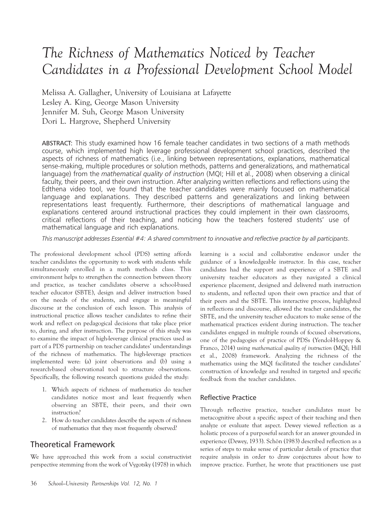# The Richness of Mathematics Noticed by Teacher Candidates in a Professional Development School Model

Melissa A. Gallagher, University of Louisiana at Lafayette Lesley A. King, George Mason University Jennifer M. Suh, George Mason University Dori L. Hargrove, Shepherd University

ABSTRACT: This study examined how 16 female teacher candidates in two sections of a math methods course, which implemented high leverage professional development school practices, described the aspects of richness of mathematics (i.e., linking between representations, explanations, mathematical sense-making, multiple procedures or solution methods, patterns and generalizations, and mathematical language) from the mathematical quality of instruction (MQI; Hill et al., 2008) when observing a clinical faculty, their peers, and their own instruction. After analyzing written reflections and reflections using the Edthena video tool, we found that the teacher candidates were mainly focused on mathematical language and explanations. They described patterns and generalizations and linking between representations least frequently. Furthermore, their descriptions of mathematical language and explanations centered around instructional practices they could implement in their own classrooms, critical reflections of their teaching, and noticing how the teachers fostered students' use of mathematical language and rich explanations.

This manuscript addresses Essential #4: A shared commitment to innovative and reflective practice by all participants.

The professional development school (PDS) setting affords teacher candidates the opportunity to work with students while simultaneously enrolled in a math methods class. This environment helps to strengthen the connection between theory and practice, as teacher candidates observe a school-based teacher educator (SBTE), design and deliver instruction based on the needs of the students, and engage in meaningful discourse at the conclusion of each lesson. This analysis of instructional practice allows teacher candidates to refine their work and reflect on pedagogical decisions that take place prior to, during, and after instruction. The purpose of this study was to examine the impact of high-leverage clinical practices used as part of a PDS partnership on teacher candidates' understandings of the richness of mathematics. The high-leverage practices implemented were: (a) joint observations and (b) using a research-based observational tool to structure observations. Specifically, the following research questions guided the study:

- 1. Which aspects of richness of mathematics do teacher candidates notice most and least frequently when observing an SBTE, their peers, and their own instruction?
- 2. How do teacher candidates describe the aspects of richness of mathematics that they most frequently observed?

## Theoretical Framework

We have approached this work from a social constructivist perspective stemming from the work of Vygotsky (1978) in which

learning is a social and collaborative endeavor under the guidance of a knowledgeable instructor. In this case, teacher candidates had the support and experience of a SBTE and university teacher educators as they navigated a clinical experience placement, designed and delivered math instruction to students, and reflected upon their own practice and that of their peers and the SBTE. This interactive process, highlighted in reflections and discourse, allowed the teacher candidates, the SBTE, and the university teacher educators to make sense of the mathematical practices evident during instruction. The teacher candidates engaged in multiple rounds of focused observations, one of the pedagogies of practice of PDSs (Yendol-Hoppey & Franco, 2014) using mathematical quality of instruction (MQI; Hill et al., 2008) framework. Analyzing the richness of the mathematics using the MQI facilitated the teacher candidates' construction of knowledge and resulted in targeted and specific feedback from the teacher candidates.

## Reflective Practice

Through reflective practice, teacher candidates must be metacognitive about a specific aspect of their teaching and then analyze or evaluate that aspect. Dewey viewed reflection as a holistic process of a purposeful search for an answer grounded in experience (Dewey, 1933). Schön (1983) described reflection as a series of steps to make sense of particular details of practice that require analysis in order to draw conjectures about how to improve practice. Further, he wrote that practitioners use past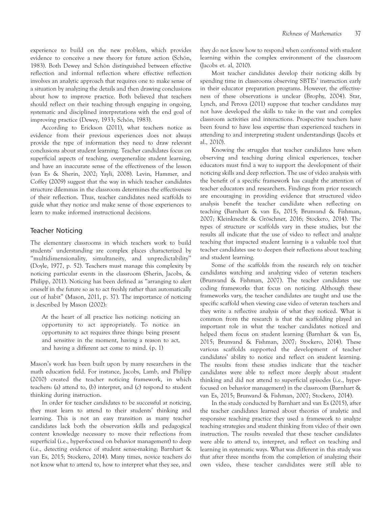experience to build on the new problem, which provides evidence to conceive a new theory for future action (Schön, 1983). Both Dewey and Schön distinguished between effective reflection and informal reflection where effective reflection involves an analytic approach that requires one to make sense of a situation by analyzing the details and then drawing conclusions about how to improve practice. Both believed that teachers should reflect on their teaching through engaging in ongoing, systematic and disciplined interpretations with the end goal of improving practice (Dewey, 1933; Schön, 1983).

According to Erickson (2011), what teachers notice as evidence from their previous experiences does not always provide the type of information they need to draw relevant conclusions about student learning. Teacher candidates focus on superficial aspects of teaching, overgeneralize student learning, and have an inaccurate sense of the effectiveness of the lesson (van Es & Sherin, 2002; Yayli, 2008). Levin, Hammer, and Coffey (2009) suggest that the way in which teacher candidates structure dilemmas in the classroom determines the effectiveness of their reflection. Thus, teacher candidates need scaffolds to guide what they notice and make sense of those experiences to learn to make informed instructional decisions.

#### Teacher Noticing

The elementary classrooms in which teachers work to build students' understanding are complex places characterized by ''multidimensionality, simultaneity, and unpredictability'' (Doyle, 1977, p. 52). Teachers must manage this complexity by noticing particular events in the classroom (Sherin, Jacobs, & Philipp, 2011). Noticing has been defined as ''arranging to alert oneself in the future so as to act freshly rather than automatically out of habit'' (Mason, 2011, p. 37). The importance of noticing is described by Mason (2002):

At the heart of all practice lies noticing: noticing an opportunity to act appropriately. To notice an opportunity to act requires three things: being present and sensitive in the moment, having a reason to act, and having a different act come to mind. (p. 1)

Mason's work has been built upon by many researchers in the math education field. For instance, Jacobs, Lamb, and Philipp (2010) created the teacher noticing framework, in which teachers: (a) attend to, (b) interpret, and (c) respond to student thinking during instruction.

In order for teacher candidates to be successful at noticing, they must learn to attend to their students' thinking and learning. This is not an easy transition as many teacher candidates lack both the observation skills and pedagogical content knowledge necessary to move their reflections from superficial (i.e., hyper-focused on behavior management) to deep (i.e., detecting evidence of student sense-making; Barnhart & van Es, 2015; Stockero, 2014). Many times, novice teachers do not know what to attend to, how to interpret what they see, and

they do not know how to respond when confronted with student learning within the complex environment of the classroom (Jacobs et. al, 2010).

Most teacher candidates develop their noticing skills by spending time in classrooms observing SBTEs' instruction early in their educator preparation programs. However, the effectiveness of these observations is unclear (Brophy, 2004). Star, Lynch, and Perova (2011) suppose that teacher candidates may not have developed the skills to take in the vast and complex classroom activities and interactions. Prospective teachers have been found to have less expertise than experienced teachers in attending to and interpreting student understandings (Jacobs et al., 2010).

Knowing the struggles that teacher candidates have when observing and teaching during clinical experiences, teacher educators must find a way to support the development of their noticing skills and deep reflection. The use of video analysis with the benefit of a specific framework has caught the attention of teacher educators and researchers. Findings from prior research are encouraging in providing evidence that structured video analysis benefit the teacher candidate when reflecting on teaching (Barnhart & van Es, 2015; Brunvand & Fishman, 2007; Kleinknecht & Gröschner, 2016; Stockero, 2014). The types of structure or scaffolds vary in these studies, but the results all indicate that the use of video to reflect and analyze teaching that impacted student learning is a valuable tool that teacher candidates use to deepen their reflections about teaching and student learning.

Some of the scaffolds from the research rely on teacher candidates watching and analyzing video of veteran teachers (Brunvand & Fishman, 2007). The teacher candidates use coding frameworks that focus on noticing. Although these frameworks vary, the teacher candidates are taught and use the specific scaffold when viewing case video of veteran teachers and they write a reflective analysis of what they noticed. What is common from the research is that the scaffolding played an important role in what the teacher candidates noticed and helped them focus on student learning (Barnhart & van Es, 2015; Brunvand & Fishman, 2007; Stockero, 2014). These various scaffolds supported the development of teacher candidates' ability to notice and reflect on student learning. The results from these studies indicate that the teacher candidates were able to reflect more deeply about student thinking and did not attend to superficial episodes (i.e., hyperfocused on behavior management) in the classroom (Barnhart & van Es, 2015; Brunvand & Fishman, 2007; Stockero, 2014).

In the study conducted by Barnhart and van Es (2015), after the teacher candidates learned about theories of analytic and responsive teaching practice they used a framework to analyze teaching strategies and student thinking from video of their own instruction. The results revealed that these teacher candidates were able to attend to, interpret, and reflect on teaching and learning in systematic ways. What was different in this study was that after three months from the completion of analyzing their own video, these teacher candidates were still able to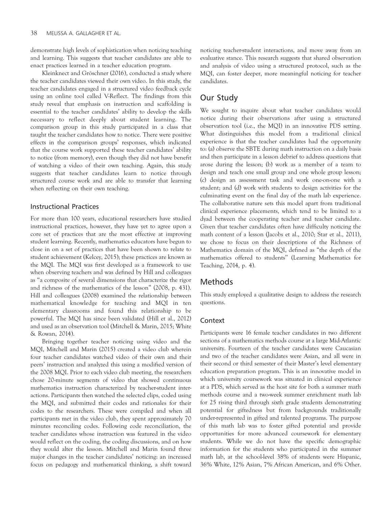demonstrate high levels of sophistication when noticing teaching and learning. This suggests that teacher candidates are able to enact practices learned in a teacher education program.

Kleinknect and Gröschner (2016), conducted a study where the teacher candidates viewed their own video. In this study, the teacher candidates engaged in a structured video feedback cycle using an online tool called V-Reflect. The findings from this study reveal that emphasis on instruction and scaffolding is essential to the teacher candidates' ability to develop the skills necessary to reflect deeply about student learning. The comparison group in this study participated in a class that taught the teacher candidates how to notice. There were positive effects in the comparison groups' responses, which indicated that the course work supported these teacher candidates' ability to notice (from memory), even though they did not have benefit of watching a video of their own teaching. Again, this study suggests that teacher candidates learn to notice through structured course work and are able to transfer that learning when reflecting on their own teaching.

#### Instructional Practices

For more than 100 years, educational researchers have studied instructional practices, however, they have yet to agree upon a core set of practices that are the most effective at improving student learning. Recently, mathematics educators have begun to close in on a set of practices that have been shown to relate to student achievement (Kelcey, 2015); these practices are known as the MQI. The MQI was first developed as a framework to use when observing teachers and was defined by Hill and colleagues as ''a composite of several dimensions that characterize the rigor and richness of the mathematics of the lesson'' (2008, p. 431). Hill and colleagues (2008) examined the relationship between mathematical knowledge for teaching and MQI in ten elementary classrooms and found this relationship to be powerful. The MQI has since been validated (Hill et al., 2012) and used as an observation tool (Mitchell & Marin, 2015; White & Rowan, 2014).

Bringing together teacher noticing using video and the MQI, Mitchell and Marin (2015) created a video club wherein four teacher candidates watched video of their own and their peers' instruction and analyzed this using a modified version of the 2008 MQI. Prior to each video club meeting, the researchers chose 20-minute segments of video that showed continuous mathematics instruction characterized by teacher-student interactions. Participants then watched the selected clips, coded using the MQI, and submitted their codes and rationales for their codes to the researchers. These were compiled and when all participants met in the video club, they spent approximately 70 minutes reconciling codes. Following code reconciliation, the teacher candidates whose instruction was featured in the video would reflect on the coding, the coding discussions, and on how they would alter the lesson. Mitchell and Marin found three major changes in the teacher candidates' noticing: an increased focus on pedagogy and mathematical thinking, a shift toward

noticing teacher-student interactions, and move away from an evaluative stance. This research suggests that shared observation and analysis of video using a structured protocol, such as the MQI, can foster deeper, more meaningful noticing for teacher candidates.

## Our Study

We sought to inquire about what teacher candidates would notice during their observations after using a structured observation tool (i.e., the MQI) in an innovative PDS setting. What distinguishes this model from a traditional clinical experience is that the teacher candidates had the opportunity to: (a) observe the SBTE during math instruction on a daily basis and then participate in a lesson debrief to address questions that arose during the lesson; (b) work as a member of a team to design and teach one small group and one whole group lesson; (c) design an assessment task and work one-on-one with a student; and (d) work with students to design activities for the culminating event on the final day of the math lab experience. The collaborative nature sets this model apart from traditional clinical experience placements, which tend to be limited to a dyad between the cooperating teacher and teacher candidate. Given that teacher candidates often have difficulty noticing the math content of a lesson (Jacobs et al., 2010; Star et al., 2011), we chose to focus on their descriptions of the Richness of Mathematics domain of the MQI, defined as ''the depth of the mathematics offered to students'' (Learning Mathematics for Teaching, 2014, p. 4).

### Methods

This study employed a qualitative design to address the research questions.

#### **Context**

Participants were 16 female teacher candidates in two different sections of a mathematics methods course at a large Mid-Atlantic university. Fourteen of the teacher candidates were Caucasian and two of the teacher candidates were Asian, and all were in their second or third semester of their Master's level elementary education preparation program. This is an innovative model in which university coursework was situated in clinical experience at a PDS, which served as the host site for both a summer math methods course and a two-week summer enrichment math lab for 25 rising third through sixth grade students demonstrating potential for giftedness but from backgrounds traditionally under-represented in gifted and talented programs. The purpose of this math lab was to foster gifted potential and provide opportunities for more advanced coursework for elementary students. While we do not have the specific demographic information for the students who participated in the summer math lab, at the school-level 38% of students were Hispanic, 36% White, 12% Asian, 7% African American, and 6% Other.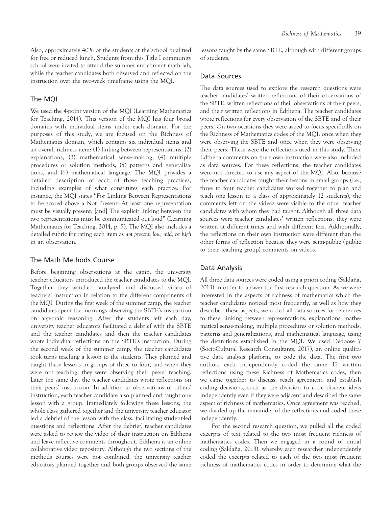Also, approximately 40% of the students at the school qualified for free or reduced lunch. Students from this Title I community school were invited to attend the summer enrichment math lab, while the teacher candidates both observed and reflected on the instruction over the two-week timeframe using the MQI.

#### The MQI

We used the 4-point version of the MQI (Learning Mathematics for Teaching, 2014). This version of the MQI has four broad domains with individual items under each domain. For the purposes of this study, we are focused on the Richness of Mathematics domain, which contains six individual items and an overall richness item: (1) linking between representations, (2) explanations, (3) mathematical sense-making, (4) multiple procedures or solution methods, (5) patterns and generalizations, and (6) mathematical language. The MQI provides a detailed description of each of these teaching practices, including examples of what constitutes each practice. For instance, the MQI states ''For Linking Between Representations to be scored above a Not Present: At least one representation must be visually present; [and] The explicit linking between the two representations must be communicated out loud'' (Learning Mathematics for Teaching, 2014, p. 5). The MQI also includes a detailed rubric for rating each item as not present, low, mid, or high in an observation.

#### The Math Methods Course

Before beginning observations at the camp, the university teacher educators introduced the teacher candidates to the MQI. Together they watched, analyzed, and discussed video of teachers' instruction in relation to the different components of the MQI. During the first week of the summer camp, the teacher candidates spent the mornings observing the SBTE's instruction on algebraic reasoning. After the students left each day, university teacher educators facilitated a debrief with the SBTE and the teacher candidates and then the teacher candidates wrote individual reflections on the SBTE's instruction. During the second week of the summer camp, the teacher candidates took turns teaching a lesson to the students. They planned and taught these lessons in groups of three to four, and when they were not teaching, they were observing their peers' teaching. Later the same day, the teacher candidates wrote reflections on their peers' instruction. In addition to observations of others' instruction, each teacher candidate also planned and taught one lesson with a group. Immediately following these lessons, the whole class gathered together and the university teacher educator led a debrief of the lesson with the class, facilitating student-led questions and reflections. After the debrief, teacher candidates were asked to review the video of their instruction on Edthena and leave reflective comments throughout. Edthena is an online collaborative video repository. Although the two sections of the methods courses were not combined, the university teacher educators planned together and both groups observed the same

lessons taught by the same SBTE, although with different groups of students.

#### Data Sources

The data sources used to explore the research questions were teacher candidates' written reflections of their observations of the SBTE, written reflections of their observations of their peers, and their written reflections in Edthena. The teacher candidates wrote reflections for every observation of the SBTE and of their peers. On two occasions they were asked to focus specifically on the Richness of Mathematics codes of the MQI: once when they were observing the SBTE and once when they were observing their peers. These were the reflections used in this study. Their Edthena comments on their own instruction were also included as data sources. For these reflections, the teacher candidates were not directed to use any aspect of the MQI. Also, because the teacher candidates taught their lessons in small groups (i.e., three to four teacher candidates worked together to plan and teach one lesson to a class of approximately 12 students), the comments left on the videos were visible to the other teacher candidates with whom they had taught. Although all three data sources were teacher candidates' written reflections, they were written at different times and with different foci. Additionally, the reflections on their own instruction were different than the other forms of reflection because they were semi-public (public to their teaching group) comments on videos.

#### Data Analysis

All three data sources were coded using a priori coding (Saldaña, 2013) in order to answer the first research question. As we were interested in the aspects of richness of mathematics which the teacher candidates noticed most frequently, as well as how they described these aspects, we coded all data sources for references to these: linking between representations, explanations, mathematical sense-making, multiple procedures or solution methods, patterns and generalizations, and mathematical language, using the definitions established in the MQI. We used Dedoose 7 (SocioCultural Research Consultants, 2017), an online qualitative data analysis platform, to code the data. The first two authors each independently coded the same 12 written reflections using these Richness of Mathematics codes, then we came together to discuss, reach agreement, and establish coding decisions, such as the decision to code discrete ideas independently even if they were adjacent and described the same aspect of richness of mathematics. Once agreement was reached, we divided up the remainder of the reflections and coded these independently.

For the second research question, we pulled all the coded excerpts of text related to the two most frequent richness of mathematics codes. Then we engaged in a round of initial coding (Saldaña, 2013), whereby each researcher independently coded the excerpts related to each of the two most frequent richness of mathematics codes in order to determine what the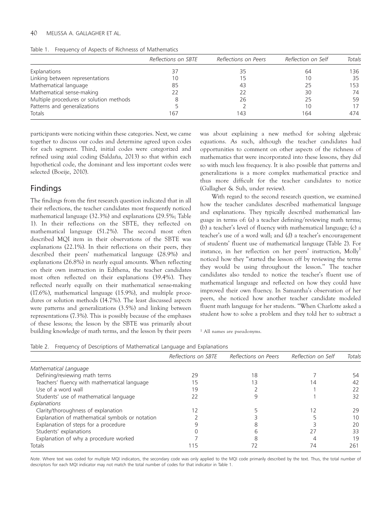#### 40 MELISSA A. GALLAGHER ET AL.

| Table 1. |  |  |  |  |  |  | Frequency of Aspects of Richnesss of Mathematics |
|----------|--|--|--|--|--|--|--------------------------------------------------|
|----------|--|--|--|--|--|--|--------------------------------------------------|

|                                         | Reflections on SBTE | Reflections on Peers | Reflection on Self | Totals |
|-----------------------------------------|---------------------|----------------------|--------------------|--------|
| Explanations                            | 37                  | 35                   | 64                 | 136    |
| Linking between representations         | 10                  | 15                   | 1 C                | 35     |
| Mathematical language                   | 85                  | 43                   | 25                 | 153    |
| Mathematical sense-making               | 22                  | 22                   | 30                 | 74     |
| Multiple procedures or solution methods |                     | 26                   | 25                 | 59     |
| Patterns and generalizations            |                     |                      |                    | 17     |
| Totals                                  | 167                 | 143                  | 164                | 474    |

participants were noticing within these categories. Next, we came together to discuss our codes and determine agreed upon codes for each segment. Third, initial codes were categorized and refined using axial coding (Saldaña, 2013) so that within each hypothetical code, the dominant and less important codes were selected (Boeije, 2010).

## Findings

The findings from the first research question indicated that in all their reflections, the teacher candidates most frequently noticed mathematical language (32.3%) and explanations (29.5%; Table 1). In their reflections on the SBTE, they reflected on mathematical language (51.2%). The second most often described MQI item in their observations of the SBTE was explanations (22.1%). In their reflections on their peers, they described their peers' mathematical language (28.9%) and explanations (26.8%) in nearly equal amounts. When reflecting on their own instruction in Edthena, the teacher candidates most often reflected on their explanations (39.4%). They reflected nearly equally on their mathematical sense-making (17.6%), mathematical language (15.9%), and multiple procedures or solution methods (14.7%). The least discussed aspects were patterns and generalizations (3.5%) and linking between representations (7.3%). This is possibly because of the emphases of these lessons; the lesson by the SBTE was primarily about building knowledge of math terms, and the lesson by their peers was about explaining a new method for solving algebraic equations. As such, although the teacher candidates had opportunities to comment on other aspects of the richness of mathematics that were incorporated into these lessons, they did so with much less frequency. It is also possible that patterns and generalizations is a more complex mathematical practice and thus more difficult for the teacher candidates to notice (Gallagher & Suh, under review).

With regard to the second research question, we examined how the teacher candidates described mathematical language and explanations. They typically described mathematical language in terms of: (a) a teacher defining/reviewing math terms; (b) a teacher's level of fluency with mathematical language; (c) a teacher's use of a word wall; and (d) a teacher's encouragement of students' fluent use of mathematical language (Table 2). For instance, in her reflection on her peers' instruction, Molly<sup>1</sup> noticed how they ''started the lesson off by reviewing the terms they would be using throughout the lesson.'' The teacher candidates also tended to notice the teacher's fluent use of mathematical language and reflected on how they could have improved their own fluency. In Samantha's observation of her peers, she noticed how another teacher candidate modeled fluent math language for her students. ''When Charlotte asked a student how to solve a problem and they told her to subtract a

<sup>1</sup> All names are pseudonyms.

|  | Table 2. Frequency of Descriptions of Mathematical Language and Explanations |  |
|--|------------------------------------------------------------------------------|--|
|  |                                                                              |  |

|                                                 | Reflections on SBTE | Reflections on Peers | Reflection on Self | Totals |
|-------------------------------------------------|---------------------|----------------------|--------------------|--------|
| Mathematical Language                           |                     |                      |                    |        |
| Defining/reviewing math terms                   | 29                  | 18                   |                    | 54     |
| Teachers' fluency with mathematical language    | 5 ا                 | 13                   | 4                  | 42     |
| Use of a word wall                              | 19                  |                      |                    | 22     |
| Students' use of mathematical language          | 22                  |                      |                    | 32     |
| Explanations                                    |                     |                      |                    |        |
| Clarity/thoroughness of explanation             |                     |                      |                    | 29     |
| Explanation of mathematical symbols or notation |                     |                      |                    | 10     |
| Explanation of steps for a procedure            |                     |                      |                    | 20     |
| Students' explanations                          |                     |                      |                    | 33     |
| Explanation of why a procedure worked           |                     |                      |                    | 19     |
| Totals                                          | 15                  |                      | 74                 | 261    |

Note. Where text was coded for multiple MQI indicators, the secondary code was only applied to the MQI code primarily described by the text. Thus, the total number of descriptors for each MQI indicator may not match the total number of codes for that indicator in Table 1.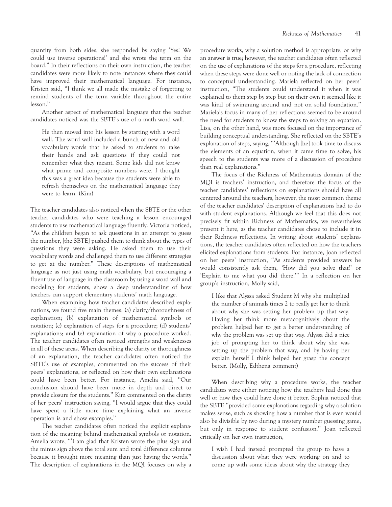quantity from both sides, she responded by saying 'Yes! We could use inverse operations!' and she wrote the term on the board.'' In their reflections on their own instruction, the teacher candidates were more likely to note instances where they could have improved their mathematical language. For instance, Kristen said, ''I think we all made the mistake of forgetting to remind students of the term variable throughout the entire lesson.''

Another aspect of mathematical language that the teacher candidates noticed was the SBTE's use of a math word wall.

He then moved into his lesson by starting with a word wall. The word wall included a bunch of new and old vocabulary words that he asked to students to raise their hands and ask questions if they could not remember what they meant. Some kids did not know what prime and composite numbers were. I thought this was a great idea because the students were able to refresh themselves on the mathematical language they were to learn. (Kim)

The teacher candidates also noticed when the SBTE or the other teacher candidates who were teaching a lesson encouraged students to use mathematical language fluently. Victoria noticed, "As the children began to ask questions in an attempt to guess the number, [the SBTE] pushed them to think about the types of questions they were asking. He asked them to use their vocabulary words and challenged them to use different strategies to get at the number.'' These descriptions of mathematical language as not just using math vocabulary, but encouraging a fluent use of language in the classroom by using a word wall and modeling for students, show a deep understanding of how teachers can support elementary students' math language.

When examining how teacher candidates described explanations, we found five main themes: (a) clarity/thoroughness of explanation; (b) explanation of mathematical symbols or notation; (c) explanation of steps for a procedure; (d) students' explanations; and (e) explanation of why a procedure worked. The teacher candidates often noticed strengths and weaknesses in all of these areas. When describing the clarity or thoroughness of an explanation, the teacher candidates often noticed the SBTE's use of examples, commented on the success of their peers' explanations, or reflected on how their own explanations could have been better. For instance, Amelia said, ''Our conclusion should have been more in depth and direct to provide closure for the students.'' Kim commented on the clarity of her peers' instruction saying, ''I would argue that they could have spent a little more time explaining what an inverse operation is and show examples.''

The teacher candidates often noticed the explicit explanation of the meaning behind mathematical symbols or notation. Amelia wrote, "I am glad that Kristen wrote the plus sign and the minus sign above the total sum and total difference columns because it brought more meaning than just having the words.'' The description of explanations in the MQI focuses on why a procedure works, why a solution method is appropriate, or why an answer is true; however, the teacher candidates often reflected on the use of explanations of the steps for a procedure, reflecting when these steps were done well or noting the lack of connection to conceptual understanding. Mariela reflected on her peers' instruction, ''The students could understand it when it was explained to them step by step but on their own it seemed like it was kind of swimming around and not on solid foundation.'' Mariela's focus in many of her reflections seemed to be around the need for students to know the steps to solving an equation. Lisa, on the other hand, was more focused on the importance of building conceptual understanding. She reflected on the SBTE's explanation of steps, saying, "'Although [he] took time to discuss the elements of an equation, when it came time to solve, his speech to the students was more of a discussion of procedure than real explanations.''

The focus of the Richness of Mathematics domain of the MQI is teachers' instruction, and therefore the focus of the teacher candidates' reflections on explanations should have all centered around the teachers, however, the most common theme of the teacher candidates' description of explanations had to do with student explanations. Although we feel that this does not precisely fit within Richness of Mathematics, we nevertheless present it here, as the teacher candidates chose to include it in their Richness reflections. In writing about students' explanations, the teacher candidates often reflected on how the teachers elicited explanations from students. For instance, Joan reflected on her peers' instruction, ''As students provided answers he would consistently ask them, 'How did you solve that?' or 'Explain to me what you did there.''' In a reflection on her group's instruction, Molly said,

I like that Alyssa asked Student M why she multiplied the number of animals times 2 to really get her to think about why she was setting her problem up that way. Having her think more metacognitively about the problem helped her to get a better understanding of why the problem was set up that way. Alyssa did a nice job of prompting her to think about why she was setting up the problem that way, and by having her explain herself I think helped her grasp the concept better. (Molly, Edthena comment)

When describing why a procedure works, the teacher candidates were either noticing how the teachers had done this well or how they could have done it better. Sophia noticed that the SBTE ''provided some explanations regarding why a solution makes sense, such as showing how a number that is even would also be divisible by two during a mystery number guessing game, but only in response to student confusion.'' Joan reflected critically on her own instruction,

I wish I had instead prompted the group to have a discussion about what they were working on and to come up with some ideas about why the strategy they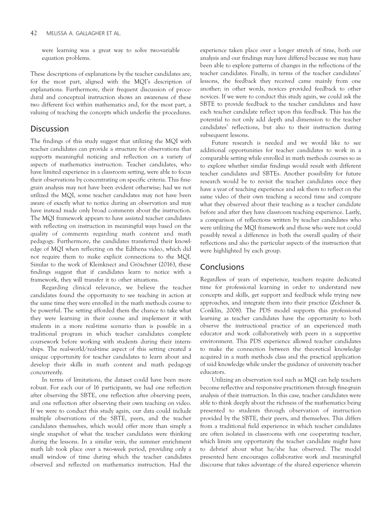were learning was a great way to solve two-variable equation problems.

These descriptions of explanations by the teacher candidates are, for the most part, aligned with the MQI's description of explanations. Furthermore, their frequent discussion of procedural and conceptual instruction shows an awareness of these two different foci within mathematics and, for the most part, a valuing of teaching the concepts which underlie the procedures.

## **Discussion**

The findings of this study suggest that utilizing the MQI with teacher candidates can provide a structure for observations that supports meaningful noticing and reflection on a variety of aspects of mathematics instruction. Teacher candidates, who have limited experience in a classroom setting, were able to focus their observations by concentrating on specific criteria. This finegrain analysis may not have been evident otherwise; had we not utilized the MQI, some teacher candidates may not have been aware of exactly what to notice during an observation and may have instead made only broad comments about the instruction. The MQI framework appears to have assisted teacher candidates with reflecting on instruction in meaningful ways based on the quality of comments regarding math content and math pedagogy. Furthermore, the candidates transferred their knowledge of MQI when reflecting on the Edthena video, which did not require them to make explicit connections to the MQI. Similar to the work of Kleinknect and Gröschner (2016), these findings suggest that if candidates learn to notice with a framework, they will transfer it to other situations.

Regarding clinical relevance, we believe the teacher candidates found the opportunity to see teaching in action at the same time they were enrolled in the math methods course to be powerful. The setting afforded them the chance to take what they were learning in their course and implement it with students in a more real-time scenario than is possible in a traditional program in which teacher candidates complete coursework before working with students during their internships. The real-world/real-time aspect of this setting created a unique opportunity for teacher candidates to learn about and develop their skills in math content and math pedagogy concurrently.

In terms of limitations, the dataset could have been more robust. For each our of 16 participants, we had one reflection after observing the SBTE, one reflection after observing peers, and one reflection after observing their own teaching on video. If we were to conduct this study again, our data could include multiple observations of the SBTE, peers, and the teacher candidates themselves, which would offer more than simply a single snapshot of what the teacher candidates were thinking during the lessons. In a similar vein, the summer enrichment math lab took place over a two-week period, providing only a small window of time during which the teacher candidates observed and reflected on mathematics instruction. Had the

experience taken place over a longer stretch of time, both our analysis and our findings may have differed because we may have been able to explore patterns of changes in the reflections of the teacher candidates. Finally, in terms of the teacher candidates' lessons, the feedback they received came mainly from one another; in other words, novices provided feedback to other novices. If we were to conduct this study again, we could ask the SBTE to provide feedback to the teacher candidates and have each teacher candidate reflect upon this feedback. This has the potential to not only add depth and dimension to the teacher candidates' reflections, but also to their instruction during subsequent lessons.

Future research is needed and we would like to see additional opportunities for teacher candidates to work in a comparable setting while enrolled in math methods courses so as to explore whether similar findings would result with different teacher candidates and SBTEs. Another possibility for future research would be to revisit the teacher candidates once they have a year of teaching experience and ask them to reflect on the same video of their own teaching a second time and compare what they observed about their teaching as a teacher candidate before and after they have classroom teaching experience. Lastly, a comparison of reflections written by teacher candidates who were utilizing the MQI framework and those who were not could possibly reveal a difference in both the overall quality of their reflections and also the particular aspects of the instruction that were highlighted by each group.

## Conclusions

Regardless of years of experience, teachers require dedicated time for professional learning in order to understand new concepts and skills, get support and feedback while trying new approaches, and integrate them into their practice (Zeichner & Conklin, 2008). The PDS model supports this professional learning as teacher candidates have the opportunity to both observe the instructional practice of an experienced math educator and work collaboratively with peers in a supportive environment. This PDS experience allowed teacher candidates to make the connection between the theoretical knowledge acquired in a math methods class and the practical application of said knowledge while under the guidance of university teacher educators.

Utilizing an observation tool such as MQI can help teachers become reflective and responsive practitioners through fine-grain analysis of their instruction. In this case, teacher candidates were able to think deeply about the richness of the mathematics being presented to students through observation of instruction provided by the SBTE, their peers, and themselves. This differs from a traditional field experience in which teacher candidates are often isolated in classrooms with one cooperating teacher, which limits any opportunity the teacher candidate might have to debrief about what he/she has observed. The model presented here encourages collaborative work and meaningful discourse that takes advantage of the shared experience wherein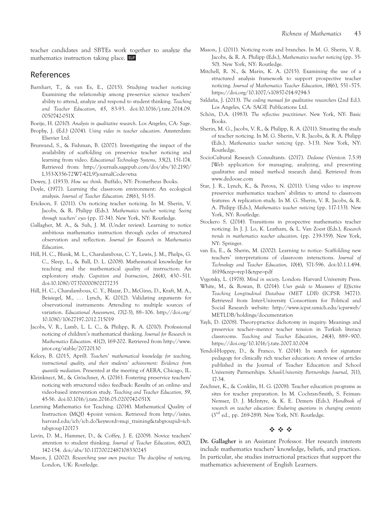teacher candidates and SBTEs work together to analyze the mathematics instruction taking place.

## References

- Barnhart, T., & van Es, E., (2015). Studying teacher noticing: Examining the relationship among pre-service science teachers' ability to attend, analyze and respond to student thinking. Teaching and Teacher Education, 45, 83-93. doi:10.1016/j.tate.2014.09. 0050742-051X
- Boeije, H. (2010). Analysis in qualitative research. Los Angeles, CA: Sage.
- Brophy, J. (Ed.) (2004). Using video in teacher education. Amsterdam: Elsevier Ltd.
- Brunvand, S., & Fishman, B. (2007). Investigating the impact of the availability of scaffolding on preservice teacher noticing and learning from video. Educational Technology Systems, 35(2), 151-174. Retrieved from: http://journals.sagepub.com/doi/abs/10.2190/ L353-X356-72W7-42L9?journalCode=etsa
- Dewey, J. (1933). How we think. Buffalo, NY: Prometheus Books.
- Doyle, (1977). Learning the classroom environment: An ecological analysis. Journal of Teacher Education. 28(6), 51-55.
- Erickson, F. (2011). On noticing teacher noticing. In M. Sherin, V. Jacobs, & R. Philipp (Eds.). Mathematics teacher noticing: Seeing through teachers' eyes (pp. 17-34). New York, NY: Routledge.
- Gallagher, M. A., & Suh, J. M. (Under review). Learning to notice ambitious mathematics instruction through cycles of structured observation and reflection. Journal for Research in Mathematics Education.
- Hill, H. C., Blunk, M. L., Charalambous, C. Y., Lewis, J. M., Phelps, G. C., Sleep, L., & Ball, D. L. (2008). Mathematical knowledge for teaching and the mathematical quality of instruction: An exploratory study. Cognition and Instruction, 26(4), 430–511. doi:10.1080/07370000802177235
- Hill, H. C., Charalambous, C. Y., Blazar, D., McGinn, D., Kraft, M. A., Beisiegel, M., ... Lynch, K. (2012). Validating arguments for observational instruments: Attending to multiple sources of variation. Educational Assessment, 17(2-3), 88–106. http://doi.org/ 10.1080/10627197.2012.715019
- Jacobs, V. R., Lamb, L. L. C., & Philipp, R. A. (2010). Professional noticing of children's mathematical thinking. Journal for Research in Mathematics Education. 41(2), 169-202. Retrieved from http://www. jstor.org/stable/20720130
- Kelcey, B. (2015, April). Teachers' mathematical knowledge for teaching, instructional quality, and their students' achievement: Evidence from quantile mediation. Presented at the meeting of AERA, Chicago, IL.
- Kleinknect, M., & Gröschner, A. (2016). Fostering preservice teachers' noticing with structured video feedback: Results of an online- and video-based intervention study. Teaching and Teacher Education, 59, 45-56. doi:10.1016/j.tate.2016.05.0200742-051X
- Learning Mathematics for Teaching. (2014). Mathematical Quality of Instruction (MQI) 4-point version. Retrieved from http://isites. harvard.edu/icb/icb.do?keyword=mqi\_training&tabgroupid=icb. tabgroup120173
- Levin, D. M., Hammer, D., & Coffey, J. E. (2009). Novice teachers' attention to student thinking. Journal of Teacher Education, 60(2), 142-154. doi:/abs/10:11770022487108330245
- Mason, J. (2002). Researching your own practice: The discipline of noticing. London, UK: Routledge.
- Mason, J. (2011). Noticing roots and branches. In M. G. Sherin, V. R. Jacobs, & R. A. Philipp (Eds.), Mathematics teacher noticing (pp. 35- 50). New York, NY: Routledge.
- Mitchell, R. N., & Marin, K. A. (2015). Examining the use of a structured analysis framework to support prospective teacher noticing. Journal of Mathematics Teacher Education, 18(6), 551–575. https://doi.org/10.1007/s10857-014-9294-3
- Saldaña, J. (2013). The coding manual for qualitative researchers (2nd Ed.). Los Angeles, CA: SAGE Publications Ltd.
- Schön, D.A. (1983). The reflective practitioner. New York, NY: Basic Books.
- Sherin, M. G., Jacobs, V. R., & Philipp, R. A. (2011). Situating the study of teacher noticing. In M. G. Sherin, V. R. Jacobs, & R. A. Philipp (Eds.), Mathematics teacher noticing (pp. 3-13). New York, NY: Routledge.
- SocioCultural Research Consultants. (2017). Dedoose (Version 7.5.9) [Web application for managing, analyzing, and presenting qualitative and mixed method research data]. Retrieved from www.dedoose.com
- Star, J. R., Lynch, K., & Perova, N. (2011). Using video to improve preservice mathematics teachers' abilities to attend to classroom features: A replication study. In M. G. Sherin, V. R. Jacobs, & R. A. Philipp (Eds.), Mathematics teacher noticing (pp. 117-133). New York, NY: Routledge.
- Stockero S. (2014). Transitions in prospective mathematics teacher noticing. In J. J. Lo, K. Leatham, & L. Van Zoest (Eds.), Research trends in mathematics teacher education. (pp. 239-359). New York, NY: Springer.
- van Es, E., & Sherin, M. (2002). Learning to notice: Scaffolding new teachers' interpretations of classroom interactions. Journal of Technology and Teacher Education, 10(4), 571-596. doi:10.1.1.494. 1619&rep=rep1&type=pdf
- Vygotsky, L. (1978). Mind in society. London: Harvard University Press.
- White, M., & Rowan, B. (2014). User guide to Measures of Effective Teaching Longitudinal Database (MET LDB) (ICPSR 34771). Retrieved from Inter-University Consortium for Political and Social Research website: http://www.icpsr.umich.edu/icpsrweb/ METLDB/holdings/documentation
- Yayli, D. (2008). Theory-practice dichotomy in inquiry: Meanings and preservice teacher–mentor teacher tension in Turkish literacy classrooms. Teaching and Teacher Education, 24(4), 889–900. https://doi.org/10.1016/j.tate.2007.10.004
- Yendol-Hoppey, D., & Franco, Y. (2014). In search for signature pedagogy for clinically rich teacher education: A review of articles published in the Journal of Teacher Education and School University Partnerships. School-University Partnerships Journal, 7(1), 17-34.
- Zeichner, K., & Conklin, H. G. (2008). Teacher education programs as sites for teacher preparation. In M. Cochran-Smith, S. Feiman-Nemser, D. J. McIntyre, & K. E. Demers (Eds.), Handbook of research on teacher education: Enduring questions in changing contexts  $(3<sup>rd</sup>$  ed., pp. 269-289). New York, NY: Routledge.

#### $\psi_2$  via  $\psi_2$

Dr. Gallagher is an Assistant Professor. Her research interests include mathematics teachers' knowledge, beliefs, and practices. In particular, she studies instructional practices that support the mathematics achievement of English Learners.